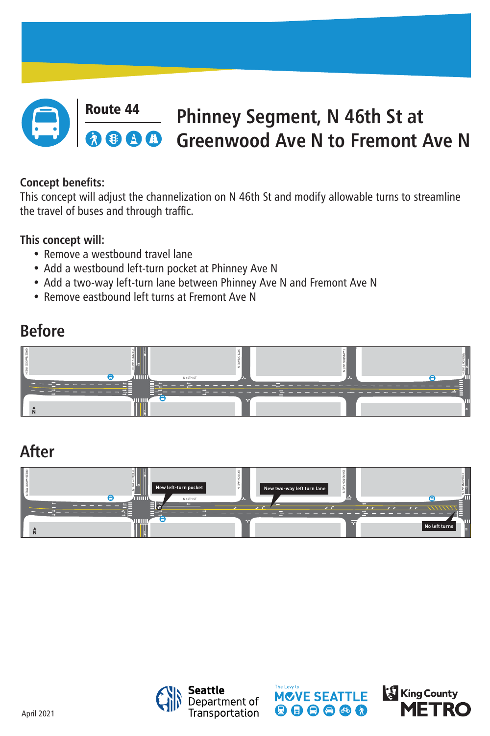April 2021

# **Before**

# **After**





### Route 44 **Phinney Segment, N 46th St at Greenwood Ave N to Fremont Ave N**

### **Concept benefits:**

This concept will adjust the channelization on N 46th St and modify allowable turns to streamline the travel of buses and through traffic.

- Remove a westbound travel lane
- Add a westbound left-turn pocket at Phinney Ave N
- Add a two-way left-turn lane between Phinney Ave N and Fremont Ave N
- Remove eastbound left turns at Fremont Ave N

## **This concept will:**







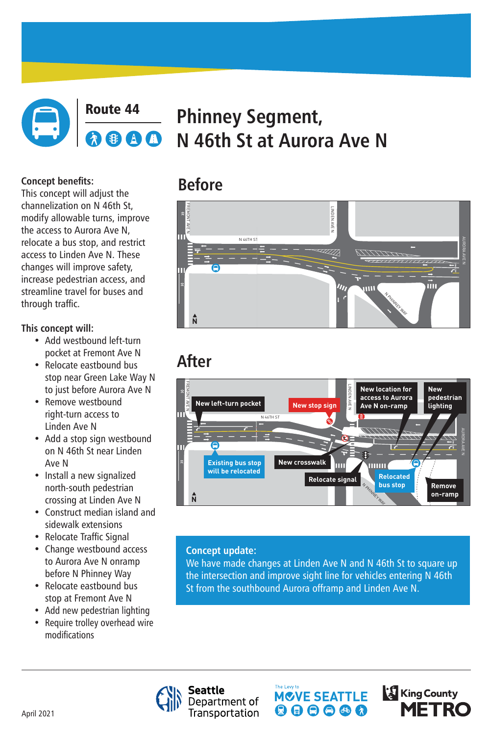

### Route 44 **Phinney Segment,**  AI **N 46th St at Aurora Ave N**

# **Before**

# **After**



#### **Concept benefits:**

This concept will adjust the channelization on N 46th St, modify allowable turns, improve the access to Aurora Ave N, relocate a bus stop, and restrict access to Linden Ave N. These changes will improve safety, increase pedestrian access, and streamline travel for buses and through traffic.

- Add westbound left-turn pocket at Fremont Ave N
- Relocate eastbound bus stop near Green Lake Way N to just before Aurora Ave N Just before *F*u
- **Remove westbound** right-turn access to Linden Ave N
- Add a stop sign westbound on N 46th St near Linden Ave N
- Install a new signalized north-south pedestrian crossing at Linden Ave N
- Construct median island and sidewalk extensions

### **This concept will:**

- Relocate Traffic Signal
- Change westbound access to Aurora Ave N onramp before N Phinney Way
- Relocate eastbound bus stop at Fremont Ave N
- Add new pedestrian lighting
- Require trolley overhead wire modifications

We have made changes at Linden Ave N and N 46th St to square up the intersection and improve sight line for vehicles entering N 46th St from the southbound Aurora offramp and Linden Ave N.







#### **Concept update:**

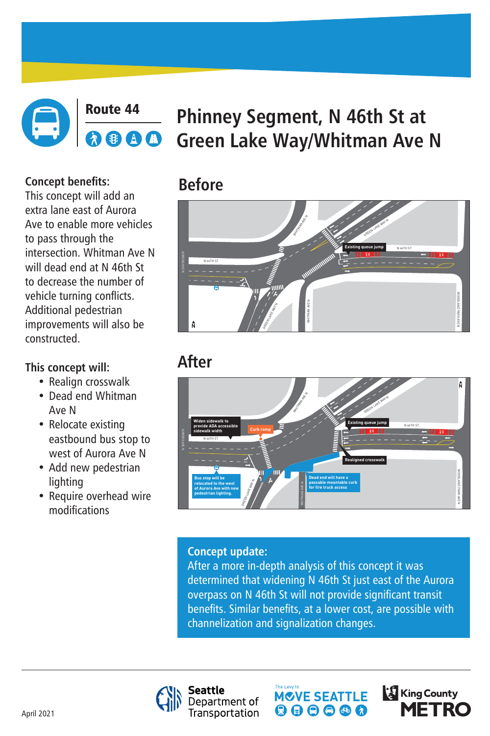April 2021

# **Before**



### Route 44 **Phinney Segment, N 46th St at**  AA **Green Lake Way/Whitman Ave N**

# **After**

### **Concept benefits:**

This concept will add an extra lane east of Aurora Ave to enable more vehicles to pass through the intersection. Whitman Ave N will dead end at N 46th St to decrease the number of vehicle turning conflicts. Additional pedestrian improvements will also be constructed.

- Realign crosswalk
- Dead end Whitman Ave N
- Relocate existing eastbound bus stop to west of Aurora Ave N
- Add new pedestrian lighting
- Require overhead wire modifications

# **This concept will:**

### **Concept update:**

After a more in-depth analysis of this concept it was determined that widening N 46th St just east of the Aurora overpass on N 46th St will not provide significant transit benefits. Similar benefits, at a lower cost, are possible with